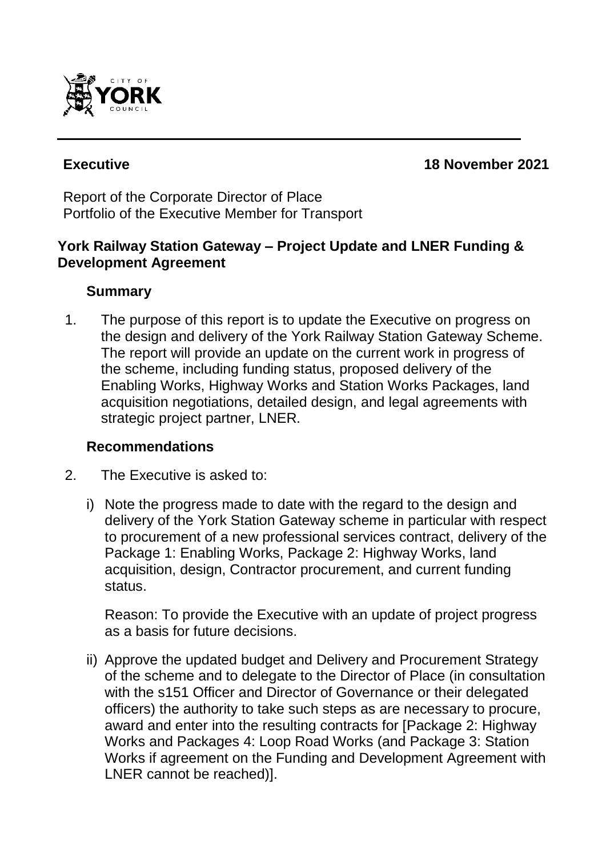

**Executive 18 November 2021**

Report of the Corporate Director of Place Portfolio of the Executive Member for Transport

## **York Railway Station Gateway – Project Update and LNER Funding & Development Agreement**

## **Summary**

1. The purpose of this report is to update the Executive on progress on the design and delivery of the York Railway Station Gateway Scheme. The report will provide an update on the current work in progress of the scheme, including funding status, proposed delivery of the Enabling Works, Highway Works and Station Works Packages, land acquisition negotiations, detailed design, and legal agreements with strategic project partner, LNER.

## **Recommendations**

- 2. The Executive is asked to:
	- i) Note the progress made to date with the regard to the design and delivery of the York Station Gateway scheme in particular with respect to procurement of a new professional services contract, delivery of the Package 1: Enabling Works, Package 2: Highway Works, land acquisition, design, Contractor procurement, and current funding status.

Reason: To provide the Executive with an update of project progress as a basis for future decisions.

ii) Approve the updated budget and Delivery and Procurement Strategy of the scheme and to delegate to the Director of Place (in consultation with the s151 Officer and Director of Governance or their delegated officers) the authority to take such steps as are necessary to procure, award and enter into the resulting contracts for [Package 2: Highway Works and Packages 4: Loop Road Works (and Package 3: Station Works if agreement on the Funding and Development Agreement with LNER cannot be reached)].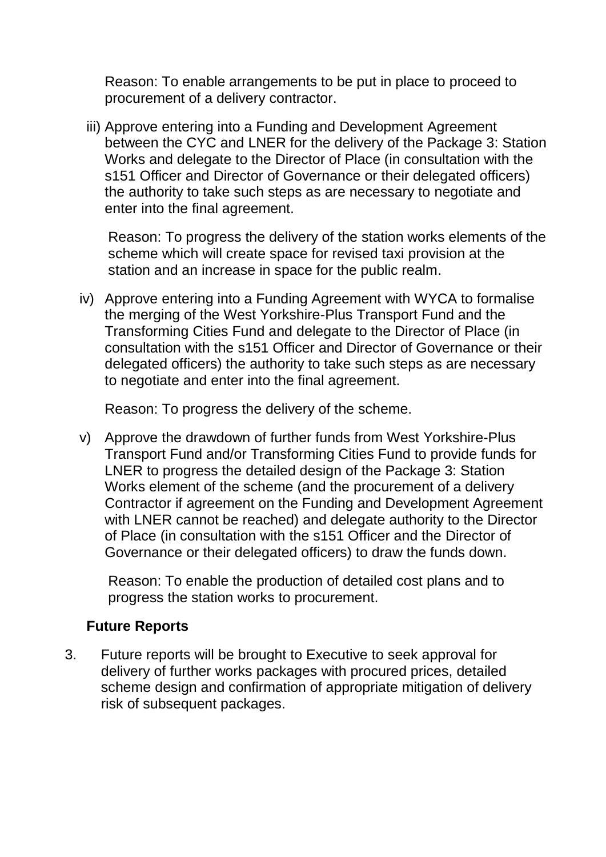Reason: To enable arrangements to be put in place to proceed to procurement of a delivery contractor.

iii) Approve entering into a Funding and Development Agreement between the CYC and LNER for the delivery of the Package 3: Station Works and delegate to the Director of Place (in consultation with the s151 Officer and Director of Governance or their delegated officers) the authority to take such steps as are necessary to negotiate and enter into the final agreement.

Reason: To progress the delivery of the station works elements of the scheme which will create space for revised taxi provision at the station and an increase in space for the public realm.

iv) Approve entering into a Funding Agreement with WYCA to formalise the merging of the West Yorkshire-Plus Transport Fund and the Transforming Cities Fund and delegate to the Director of Place (in consultation with the s151 Officer and Director of Governance or their delegated officers) the authority to take such steps as are necessary to negotiate and enter into the final agreement.

Reason: To progress the delivery of the scheme.

v) Approve the drawdown of further funds from West Yorkshire-Plus Transport Fund and/or Transforming Cities Fund to provide funds for LNER to progress the detailed design of the Package 3: Station Works element of the scheme (and the procurement of a delivery Contractor if agreement on the Funding and Development Agreement with LNER cannot be reached) and delegate authority to the Director of Place (in consultation with the s151 Officer and the Director of Governance or their delegated officers) to draw the funds down.

Reason: To enable the production of detailed cost plans and to progress the station works to procurement.

# **Future Reports**

3. Future reports will be brought to Executive to seek approval for delivery of further works packages with procured prices, detailed scheme design and confirmation of appropriate mitigation of delivery risk of subsequent packages.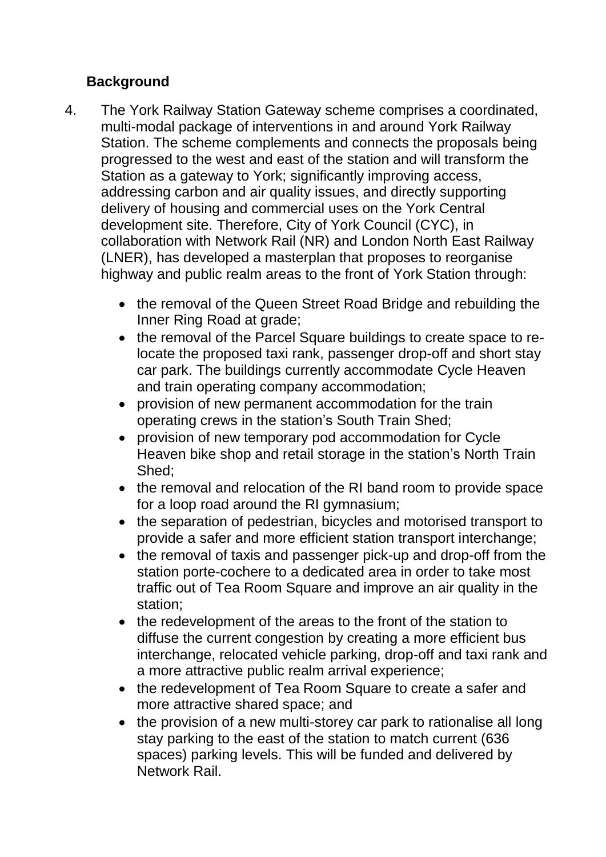# **Background**

- 4. The York Railway Station Gateway scheme comprises a coordinated, multi-modal package of interventions in and around York Railway Station. The scheme complements and connects the proposals being progressed to the west and east of the station and will transform the Station as a gateway to York; significantly improving access, addressing carbon and air quality issues, and directly supporting delivery of housing and commercial uses on the York Central development site. Therefore, City of York Council (CYC), in collaboration with Network Rail (NR) and London North East Railway (LNER), has developed a masterplan that proposes to reorganise highway and public realm areas to the front of York Station through:
	- the removal of the Queen Street Road Bridge and rebuilding the Inner Ring Road at grade;
	- the removal of the Parcel Square buildings to create space to relocate the proposed taxi rank, passenger drop-off and short stay car park. The buildings currently accommodate Cycle Heaven and train operating company accommodation;
	- provision of new permanent accommodation for the train operating crews in the station's South Train Shed;
	- provision of new temporary pod accommodation for Cycle Heaven bike shop and retail storage in the station's North Train Shed;
	- the removal and relocation of the RI band room to provide space for a loop road around the RI gymnasium;
	- the separation of pedestrian, bicycles and motorised transport to provide a safer and more efficient station transport interchange;
	- the removal of taxis and passenger pick-up and drop-off from the station porte-cochere to a dedicated area in order to take most traffic out of Tea Room Square and improve an air quality in the station;
	- the redevelopment of the areas to the front of the station to diffuse the current congestion by creating a more efficient bus interchange, relocated vehicle parking, drop-off and taxi rank and a more attractive public realm arrival experience;
	- the redevelopment of Tea Room Square to create a safer and more attractive shared space; and
	- the provision of a new multi-storey car park to rationalise all long stay parking to the east of the station to match current (636 spaces) parking levels. This will be funded and delivered by Network Rail.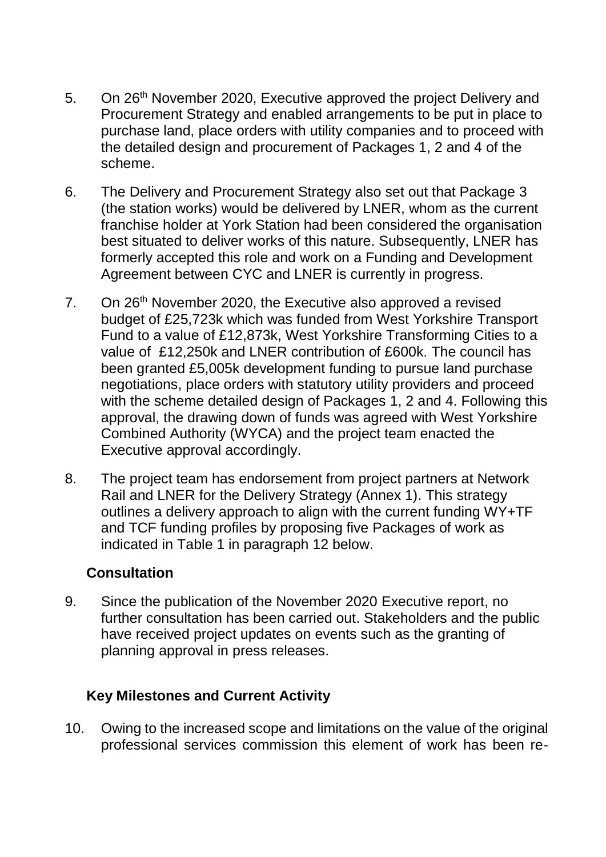- 5. On 26<sup>th</sup> November 2020, Executive approved the project Delivery and Procurement Strategy and enabled arrangements to be put in place to purchase land, place orders with utility companies and to proceed with the detailed design and procurement of Packages 1, 2 and 4 of the scheme.
- 6. The Delivery and Procurement Strategy also set out that Package 3 (the station works) would be delivered by LNER, whom as the current franchise holder at York Station had been considered the organisation best situated to deliver works of this nature. Subsequently, LNER has formerly accepted this role and work on a Funding and Development Agreement between CYC and LNER is currently in progress.
- 7. On 26<sup>th</sup> November 2020, the Executive also approved a revised budget of £25,723k which was funded from West Yorkshire Transport Fund to a value of £12,873k, West Yorkshire Transforming Cities to a value of £12,250k and LNER contribution of £600k. The council has been granted £5,005k development funding to pursue land purchase negotiations, place orders with statutory utility providers and proceed with the scheme detailed design of Packages 1, 2 and 4. Following this approval, the drawing down of funds was agreed with West Yorkshire Combined Authority (WYCA) and the project team enacted the Executive approval accordingly.
- 8. The project team has endorsement from project partners at Network Rail and LNER for the Delivery Strategy (Annex 1). This strategy outlines a delivery approach to align with the current funding WY+TF and TCF funding profiles by proposing five Packages of work as indicated in Table 1 in paragraph 12 below.

# **Consultation**

9. Since the publication of the November 2020 Executive report, no further consultation has been carried out. Stakeholders and the public have received project updates on events such as the granting of planning approval in press releases.

# **Key Milestones and Current Activity**

10. Owing to the increased scope and limitations on the value of the original professional services commission this element of work has been re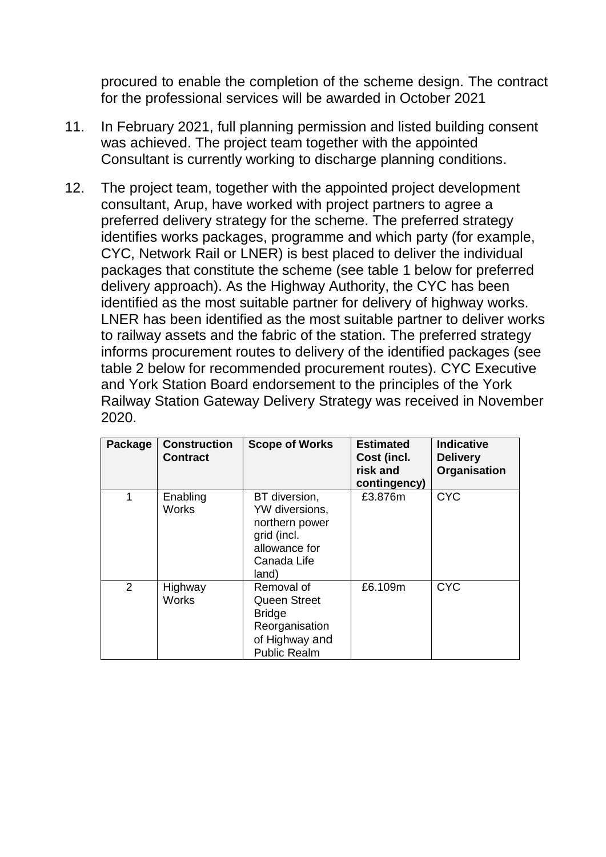procured to enable the completion of the scheme design. The contract for the professional services will be awarded in October 2021

- 11. In February 2021, full planning permission and listed building consent was achieved. The project team together with the appointed Consultant is currently working to discharge planning conditions.
- 12. The project team, together with the appointed project development consultant, Arup, have worked with project partners to agree a preferred delivery strategy for the scheme. The preferred strategy identifies works packages, programme and which party (for example, CYC, Network Rail or LNER) is best placed to deliver the individual packages that constitute the scheme (see table 1 below for preferred delivery approach). As the Highway Authority, the CYC has been identified as the most suitable partner for delivery of highway works. LNER has been identified as the most suitable partner to deliver works to railway assets and the fabric of the station. The preferred strategy informs procurement routes to delivery of the identified packages (see table 2 below for recommended procurement routes). CYC Executive and York Station Board endorsement to the principles of the York Railway Station Gateway Delivery Strategy was received in November 2020.

| Package        | <b>Construction</b><br><b>Contract</b> | <b>Scope of Works</b>                                                                                         | <b>Estimated</b><br>Cost (incl.<br>risk and<br>contingency) | <b>Indicative</b><br><b>Delivery</b><br>Organisation |
|----------------|----------------------------------------|---------------------------------------------------------------------------------------------------------------|-------------------------------------------------------------|------------------------------------------------------|
| 1              | Enabling<br><b>Works</b>               | BT diversion,<br>YW diversions,<br>northern power<br>grid (incl.<br>allowance for<br>Canada Life<br>land)     | £3.876m                                                     | <b>CYC</b>                                           |
| $\overline{2}$ | Highway<br><b>Works</b>                | Removal of<br><b>Queen Street</b><br><b>Bridge</b><br>Reorganisation<br>of Highway and<br><b>Public Realm</b> | £6.109m                                                     | <b>CYC</b>                                           |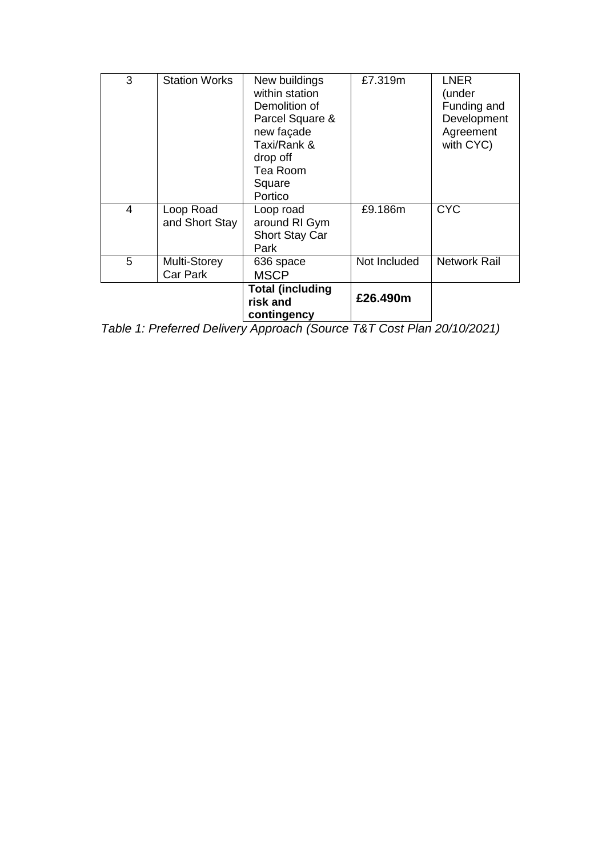| 3 | <b>Station Works</b>        | New buildings<br>within station<br>Demolition of<br>Parcel Square &<br>new façade<br>Taxi/Rank &<br>drop off<br>Tea Room<br>Square<br>Portico | £7.319m      | <b>LNER</b><br>(under<br>Funding and<br>Development<br>Agreement<br>with CYC) |
|---|-----------------------------|-----------------------------------------------------------------------------------------------------------------------------------------------|--------------|-------------------------------------------------------------------------------|
| 4 | Loop Road<br>and Short Stay | Loop road<br>around RI Gym<br><b>Short Stay Car</b><br>Park                                                                                   | £9.186m      | <b>CYC</b>                                                                    |
| 5 | Multi-Storey<br>Car Park    | 636 space<br><b>MSCP</b>                                                                                                                      | Not Included | <b>Network Rail</b>                                                           |
|   |                             | <b>Total (including</b><br>risk and<br>contingency                                                                                            | £26.490m     |                                                                               |

*Table 1: Preferred Delivery Approach (Source T&T Cost Plan 20/10/2021)*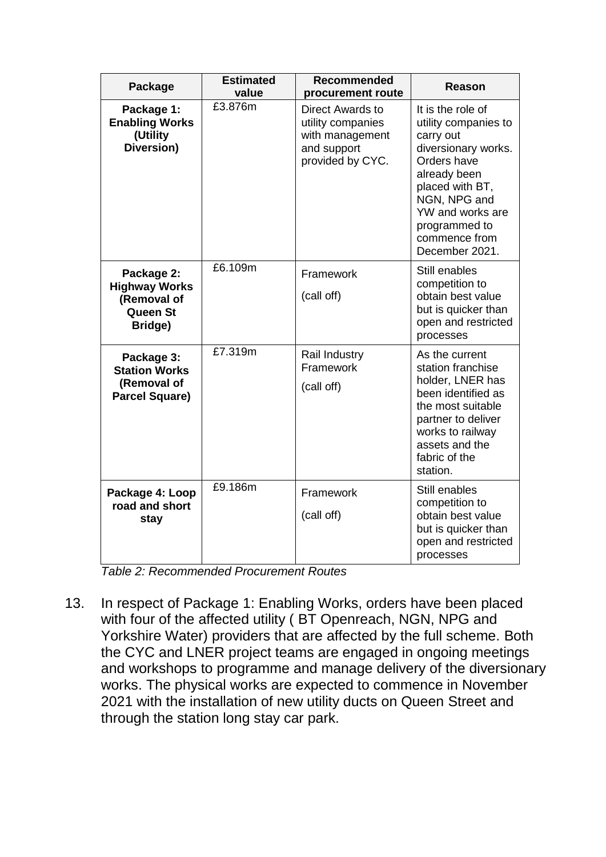| Package                                                                         | <b>Estimated</b><br>value | <b>Recommended</b><br>procurement route                                                            | Reason                                                                                                                                                                                                                  |
|---------------------------------------------------------------------------------|---------------------------|----------------------------------------------------------------------------------------------------|-------------------------------------------------------------------------------------------------------------------------------------------------------------------------------------------------------------------------|
| Package 1:<br><b>Enabling Works</b><br>(Utility<br>Diversion)                   | £3.876m                   | <b>Direct Awards to</b><br>utility companies<br>with management<br>and support<br>provided by CYC. | It is the role of<br>utility companies to<br>carry out<br>diversionary works.<br>Orders have<br>already been<br>placed with BT,<br>NGN, NPG and<br>YW and works are<br>programmed to<br>commence from<br>December 2021. |
| Package 2:<br><b>Highway Works</b><br>(Removal of<br><b>Queen St</b><br>Bridge) | £6.109m                   | Framework<br>(call off)                                                                            | Still enables<br>competition to<br>obtain best value<br>but is quicker than<br>open and restricted<br>processes                                                                                                         |
| Package 3:<br><b>Station Works</b><br>(Removal of<br><b>Parcel Square)</b>      | £7.319m                   | Rail Industry<br>Framework<br>(call off)                                                           | As the current<br>station franchise<br>holder, LNER has<br>been identified as<br>the most suitable<br>partner to deliver<br>works to railway<br>assets and the<br>fabric of the<br>station.                             |
| Package 4: Loop<br>road and short<br>stay                                       | £9.186m                   | Framework<br>(call off)                                                                            | Still enables<br>competition to<br>obtain best value<br>but is quicker than<br>open and restricted<br>processes                                                                                                         |

*Table 2: Recommended Procurement Routes*

13. In respect of Package 1: Enabling Works, orders have been placed with four of the affected utility ( BT Openreach, NGN, NPG and Yorkshire Water) providers that are affected by the full scheme. Both the CYC and LNER project teams are engaged in ongoing meetings and workshops to programme and manage delivery of the diversionary works. The physical works are expected to commence in November 2021 with the installation of new utility ducts on Queen Street and through the station long stay car park.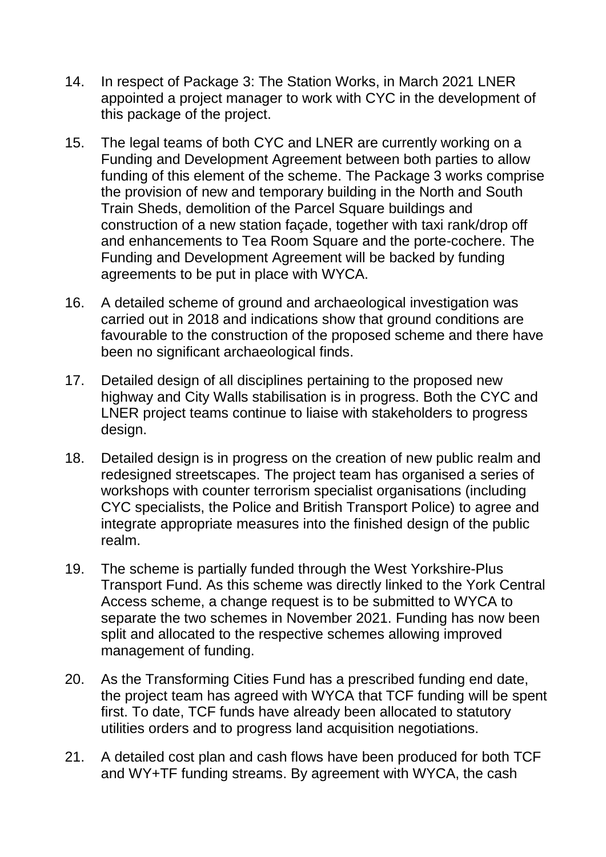- 14. In respect of Package 3: The Station Works, in March 2021 LNER appointed a project manager to work with CYC in the development of this package of the project.
- 15. The legal teams of both CYC and LNER are currently working on a Funding and Development Agreement between both parties to allow funding of this element of the scheme. The Package 3 works comprise the provision of new and temporary building in the North and South Train Sheds, demolition of the Parcel Square buildings and construction of a new station façade, together with taxi rank/drop off and enhancements to Tea Room Square and the porte-cochere. The Funding and Development Agreement will be backed by funding agreements to be put in place with WYCA.
- 16. A detailed scheme of ground and archaeological investigation was carried out in 2018 and indications show that ground conditions are favourable to the construction of the proposed scheme and there have been no significant archaeological finds.
- 17. Detailed design of all disciplines pertaining to the proposed new highway and City Walls stabilisation is in progress. Both the CYC and LNER project teams continue to liaise with stakeholders to progress design.
- 18. Detailed design is in progress on the creation of new public realm and redesigned streetscapes. The project team has organised a series of workshops with counter terrorism specialist organisations (including CYC specialists, the Police and British Transport Police) to agree and integrate appropriate measures into the finished design of the public realm.
- 19. The scheme is partially funded through the West Yorkshire-Plus Transport Fund. As this scheme was directly linked to the York Central Access scheme, a change request is to be submitted to WYCA to separate the two schemes in November 2021. Funding has now been split and allocated to the respective schemes allowing improved management of funding.
- 20. As the Transforming Cities Fund has a prescribed funding end date, the project team has agreed with WYCA that TCF funding will be spent first. To date, TCF funds have already been allocated to statutory utilities orders and to progress land acquisition negotiations.
- 21. A detailed cost plan and cash flows have been produced for both TCF and WY+TF funding streams. By agreement with WYCA, the cash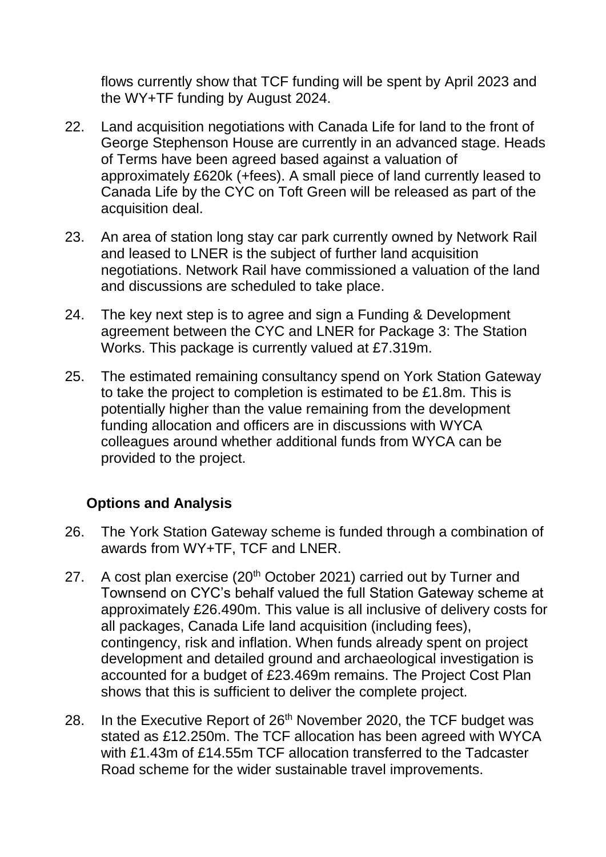flows currently show that TCF funding will be spent by April 2023 and the WY+TF funding by August 2024.

- 22. Land acquisition negotiations with Canada Life for land to the front of George Stephenson House are currently in an advanced stage. Heads of Terms have been agreed based against a valuation of approximately £620k (+fees). A small piece of land currently leased to Canada Life by the CYC on Toft Green will be released as part of the acquisition deal.
- 23. An area of station long stay car park currently owned by Network Rail and leased to LNER is the subject of further land acquisition negotiations. Network Rail have commissioned a valuation of the land and discussions are scheduled to take place.
- 24. The key next step is to agree and sign a Funding & Development agreement between the CYC and LNER for Package 3: The Station Works. This package is currently valued at £7.319m.
- 25. The estimated remaining consultancy spend on York Station Gateway to take the project to completion is estimated to be £1.8m. This is potentially higher than the value remaining from the development funding allocation and officers are in discussions with WYCA colleagues around whether additional funds from WYCA can be provided to the project.

# **Options and Analysis**

- 26. The York Station Gateway scheme is funded through a combination of awards from WY+TF, TCF and LNER.
- 27. A cost plan exercise  $(20<sup>th</sup> October 2021)$  carried out by Turner and Townsend on CYC's behalf valued the full Station Gateway scheme at approximately £26.490m. This value is all inclusive of delivery costs for all packages, Canada Life land acquisition (including fees), contingency, risk and inflation. When funds already spent on project development and detailed ground and archaeological investigation is accounted for a budget of £23.469m remains. The Project Cost Plan shows that this is sufficient to deliver the complete project.
- 28. In the Executive Report of 26<sup>th</sup> November 2020, the TCF budget was stated as £12.250m. The TCF allocation has been agreed with WYCA with £1.43m of £14.55m TCF allocation transferred to the Tadcaster Road scheme for the wider sustainable travel improvements.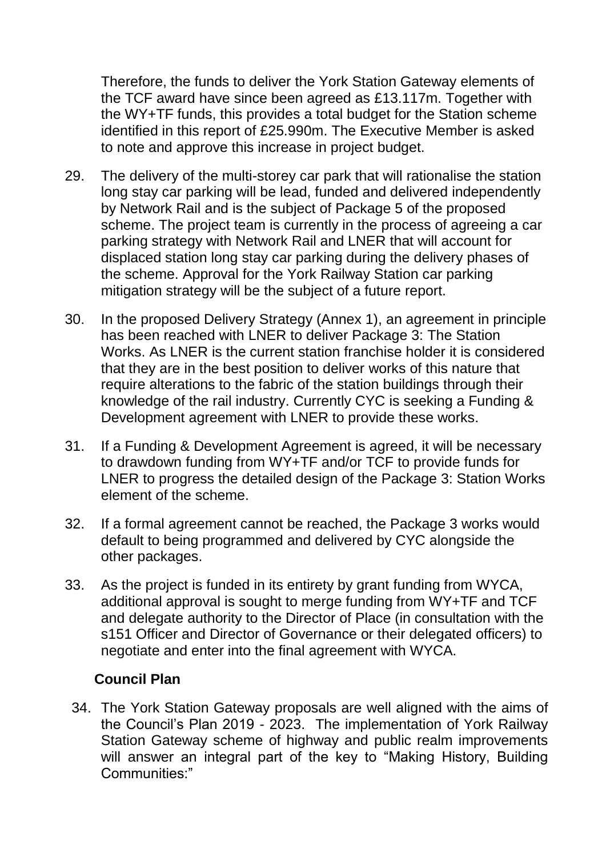Therefore, the funds to deliver the York Station Gateway elements of the TCF award have since been agreed as £13.117m. Together with the WY+TF funds, this provides a total budget for the Station scheme identified in this report of £25.990m. The Executive Member is asked to note and approve this increase in project budget.

- 29. The delivery of the multi-storey car park that will rationalise the station long stay car parking will be lead, funded and delivered independently by Network Rail and is the subject of Package 5 of the proposed scheme. The project team is currently in the process of agreeing a car parking strategy with Network Rail and LNER that will account for displaced station long stay car parking during the delivery phases of the scheme. Approval for the York Railway Station car parking mitigation strategy will be the subject of a future report.
- 30. In the proposed Delivery Strategy (Annex 1), an agreement in principle has been reached with LNER to deliver Package 3: The Station Works. As LNER is the current station franchise holder it is considered that they are in the best position to deliver works of this nature that require alterations to the fabric of the station buildings through their knowledge of the rail industry. Currently CYC is seeking a Funding & Development agreement with LNER to provide these works.
- 31. If a Funding & Development Agreement is agreed, it will be necessary to drawdown funding from WY+TF and/or TCF to provide funds for LNER to progress the detailed design of the Package 3: Station Works element of the scheme.
- 32. If a formal agreement cannot be reached, the Package 3 works would default to being programmed and delivered by CYC alongside the other packages.
- 33. As the project is funded in its entirety by grant funding from WYCA, additional approval is sought to merge funding from WY+TF and TCF and delegate authority to the Director of Place (in consultation with the s151 Officer and Director of Governance or their delegated officers) to negotiate and enter into the final agreement with WYCA.

## **Council Plan**

34. The York Station Gateway proposals are well aligned with the aims of the Council's Plan 2019 - 2023. The implementation of York Railway Station Gateway scheme of highway and public realm improvements will answer an integral part of the key to "Making History, Building Communities:"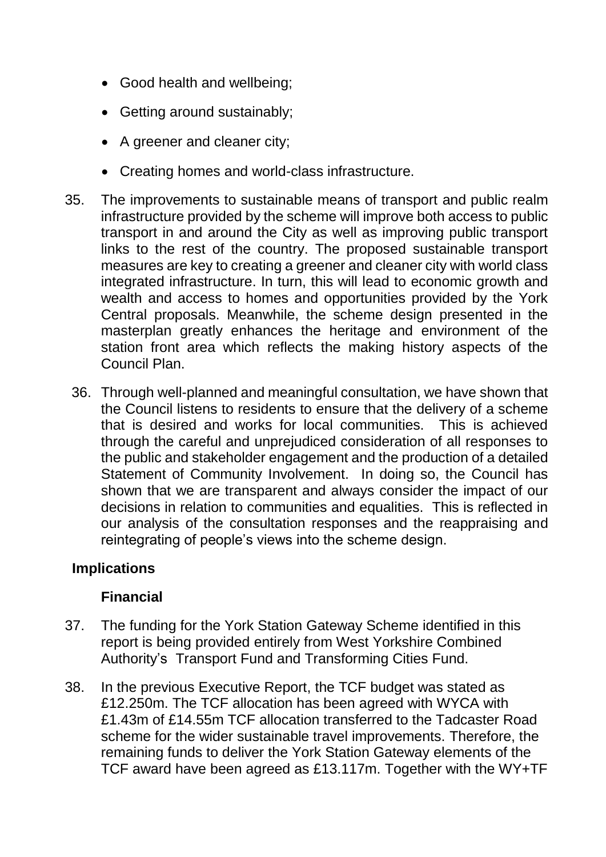- Good health and wellbeing;
- Getting around sustainably;
- A greener and cleaner city;
- Creating homes and world-class infrastructure.
- 35. The improvements to sustainable means of transport and public realm infrastructure provided by the scheme will improve both access to public transport in and around the City as well as improving public transport links to the rest of the country. The proposed sustainable transport measures are key to creating a greener and cleaner city with world class integrated infrastructure. In turn, this will lead to economic growth and wealth and access to homes and opportunities provided by the York Central proposals. Meanwhile, the scheme design presented in the masterplan greatly enhances the heritage and environment of the station front area which reflects the making history aspects of the Council Plan.
	- 36. Through well-planned and meaningful consultation, we have shown that the Council listens to residents to ensure that the delivery of a scheme that is desired and works for local communities. This is achieved through the careful and unprejudiced consideration of all responses to the public and stakeholder engagement and the production of a detailed Statement of Community Involvement. In doing so, the Council has shown that we are transparent and always consider the impact of our decisions in relation to communities and equalities. This is reflected in our analysis of the consultation responses and the reappraising and reintegrating of people's views into the scheme design.

# **Implications**

## **Financial**

- 37. The funding for the York Station Gateway Scheme identified in this report is being provided entirely from West Yorkshire Combined Authority's Transport Fund and Transforming Cities Fund.
- 38. In the previous Executive Report, the TCF budget was stated as £12.250m. The TCF allocation has been agreed with WYCA with £1.43m of £14.55m TCF allocation transferred to the Tadcaster Road scheme for the wider sustainable travel improvements. Therefore, the remaining funds to deliver the York Station Gateway elements of the TCF award have been agreed as £13.117m. Together with the WY+TF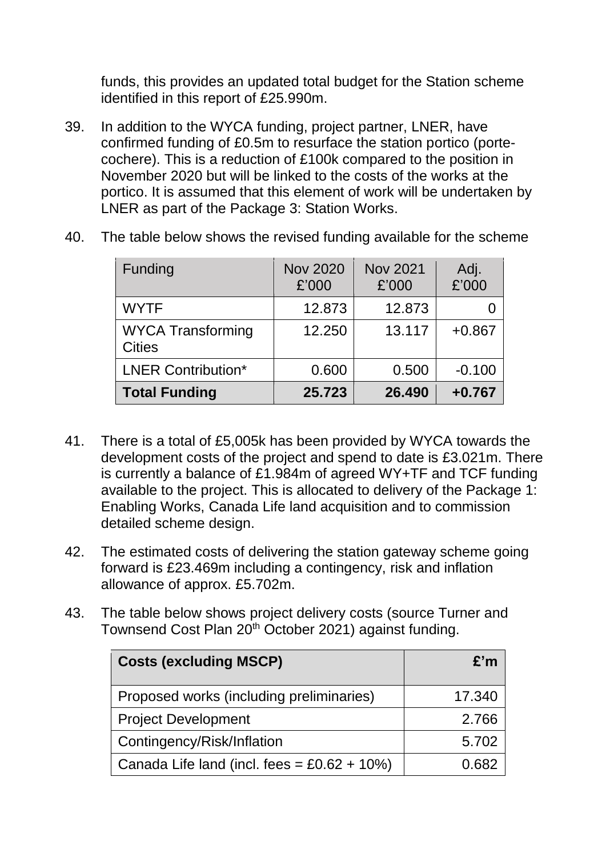funds, this provides an updated total budget for the Station scheme identified in this report of £25.990m.

39. In addition to the WYCA funding, project partner, LNER, have confirmed funding of £0.5m to resurface the station portico (portecochere). This is a reduction of £100k compared to the position in November 2020 but will be linked to the costs of the works at the portico. It is assumed that this element of work will be undertaken by LNER as part of the Package 3: Station Works.

| Funding                                   | <b>Nov 2020</b><br>£'000 | <b>Nov 2021</b><br>£'000 | Adj.<br>£'000 |
|-------------------------------------------|--------------------------|--------------------------|---------------|
| <b>WYTF</b>                               | 12.873                   | 12.873                   |               |
| <b>WYCA Transforming</b><br><b>Cities</b> | 12.250                   | 13.117                   | $+0.867$      |
| <b>LNER Contribution*</b>                 | 0.600                    | 0.500                    | $-0.100$      |
| <b>Total Funding</b>                      | 25.723                   | 26.490                   | $+0.767$      |

40. The table below shows the revised funding available for the scheme

- 41. There is a total of £5,005k has been provided by WYCA towards the development costs of the project and spend to date is £3.021m. There is currently a balance of £1.984m of agreed WY+TF and TCF funding available to the project. This is allocated to delivery of the Package 1: Enabling Works, Canada Life land acquisition and to commission detailed scheme design.
- 42. The estimated costs of delivering the station gateway scheme going forward is £23.469m including a contingency, risk and inflation allowance of approx. £5.702m.
- 43. The table below shows project delivery costs (source Turner and Townsend Cost Plan 20<sup>th</sup> October 2021) against funding.

| <b>Costs (excluding MSCP)</b>                  | E'm    |
|------------------------------------------------|--------|
| Proposed works (including preliminaries)       | 17.340 |
| <b>Project Development</b>                     | 2.766  |
| Contingency/Risk/Inflation                     | 5.702  |
| Canada Life land (incl. fees = $£0.62 + 10\%)$ | 0 682  |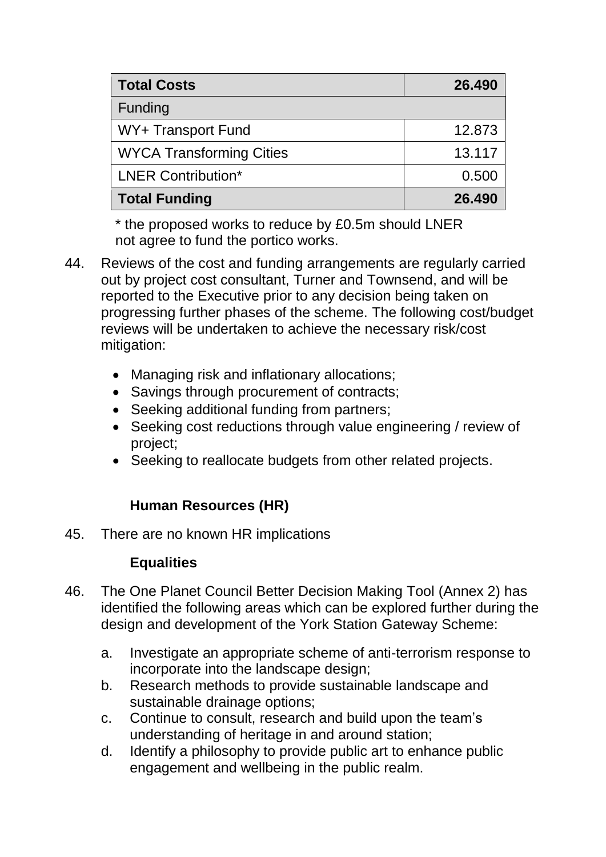| <b>Total Costs</b>              | 26.490 |
|---------------------------------|--------|
| <b>Funding</b>                  |        |
| WY+ Transport Fund              | 12.873 |
| <b>WYCA Transforming Cities</b> | 13.117 |
| <b>LNER Contribution*</b>       | 0.500  |
| <b>Total Funding</b>            | 26.490 |

\* the proposed works to reduce by £0.5m should LNER not agree to fund the portico works.

- 44. Reviews of the cost and funding arrangements are regularly carried out by project cost consultant, Turner and Townsend, and will be reported to the Executive prior to any decision being taken on progressing further phases of the scheme. The following cost/budget reviews will be undertaken to achieve the necessary risk/cost mitigation:
	- Managing risk and inflationary allocations;
	- Savings through procurement of contracts;
	- Seeking additional funding from partners;
	- Seeking cost reductions through value engineering / review of project;
	- Seeking to reallocate budgets from other related projects.

# **Human Resources (HR)**

45. There are no known HR implications

# **Equalities**

- 46. The One Planet Council Better Decision Making Tool (Annex 2) has identified the following areas which can be explored further during the design and development of the York Station Gateway Scheme:
	- a. Investigate an appropriate scheme of anti-terrorism response to incorporate into the landscape design;
	- b. Research methods to provide sustainable landscape and sustainable drainage options;
	- c. Continue to consult, research and build upon the team's understanding of heritage in and around station;
	- d. Identify a philosophy to provide public art to enhance public engagement and wellbeing in the public realm.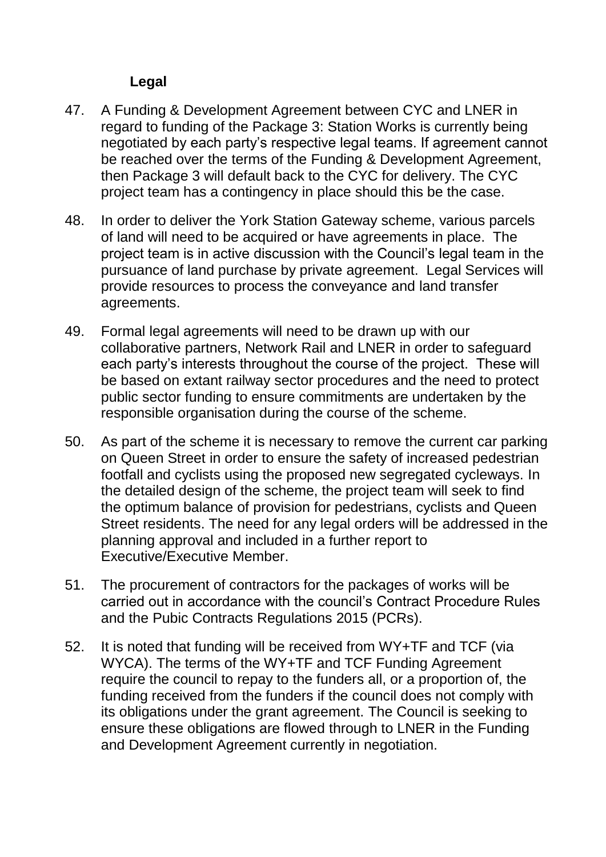# **Legal**

- 47. A Funding & Development Agreement between CYC and LNER in regard to funding of the Package 3: Station Works is currently being negotiated by each party's respective legal teams. If agreement cannot be reached over the terms of the Funding & Development Agreement, then Package 3 will default back to the CYC for delivery. The CYC project team has a contingency in place should this be the case.
- 48. In order to deliver the York Station Gateway scheme, various parcels of land will need to be acquired or have agreements in place. The project team is in active discussion with the Council's legal team in the pursuance of land purchase by private agreement. Legal Services will provide resources to process the conveyance and land transfer agreements.
- 49. Formal legal agreements will need to be drawn up with our collaborative partners, Network Rail and LNER in order to safeguard each party's interests throughout the course of the project. These will be based on extant railway sector procedures and the need to protect public sector funding to ensure commitments are undertaken by the responsible organisation during the course of the scheme.
- 50. As part of the scheme it is necessary to remove the current car parking on Queen Street in order to ensure the safety of increased pedestrian footfall and cyclists using the proposed new segregated cycleways. In the detailed design of the scheme, the project team will seek to find the optimum balance of provision for pedestrians, cyclists and Queen Street residents. The need for any legal orders will be addressed in the planning approval and included in a further report to Executive/Executive Member.
- 51. The procurement of contractors for the packages of works will be carried out in accordance with the council's Contract Procedure Rules and the Pubic Contracts Regulations 2015 (PCRs).
- 52. It is noted that funding will be received from WY+TF and TCF (via WYCA). The terms of the WY+TF and TCF Funding Agreement require the council to repay to the funders all, or a proportion of, the funding received from the funders if the council does not comply with its obligations under the grant agreement. The Council is seeking to ensure these obligations are flowed through to LNER in the Funding and Development Agreement currently in negotiation.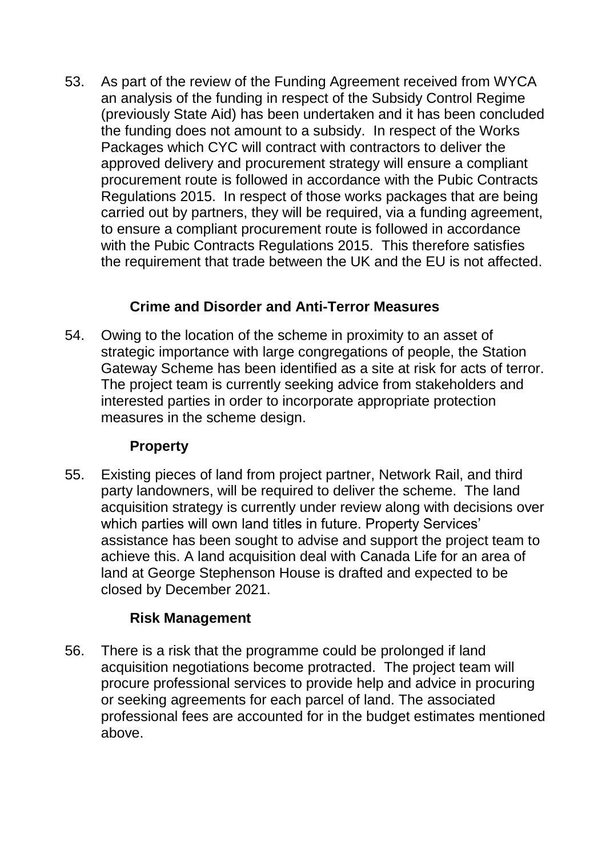53. As part of the review of the Funding Agreement received from WYCA an analysis of the funding in respect of the Subsidy Control Regime (previously State Aid) has been undertaken and it has been concluded the funding does not amount to a subsidy. In respect of the Works Packages which CYC will contract with contractors to deliver the approved delivery and procurement strategy will ensure a compliant procurement route is followed in accordance with the Pubic Contracts Regulations 2015. In respect of those works packages that are being carried out by partners, they will be required, via a funding agreement, to ensure a compliant procurement route is followed in accordance with the Pubic Contracts Regulations 2015. This therefore satisfies the requirement that trade between the UK and the EU is not affected.

# **Crime and Disorder and Anti-Terror Measures**

54. Owing to the location of the scheme in proximity to an asset of strategic importance with large congregations of people, the Station Gateway Scheme has been identified as a site at risk for acts of terror. The project team is currently seeking advice from stakeholders and interested parties in order to incorporate appropriate protection measures in the scheme design.

# **Property**

55. Existing pieces of land from project partner, Network Rail, and third party landowners, will be required to deliver the scheme. The land acquisition strategy is currently under review along with decisions over which parties will own land titles in future. Property Services' assistance has been sought to advise and support the project team to achieve this. A land acquisition deal with Canada Life for an area of land at George Stephenson House is drafted and expected to be closed by December 2021.

# **Risk Management**

56. There is a risk that the programme could be prolonged if land acquisition negotiations become protracted. The project team will procure professional services to provide help and advice in procuring or seeking agreements for each parcel of land. The associated professional fees are accounted for in the budget estimates mentioned above.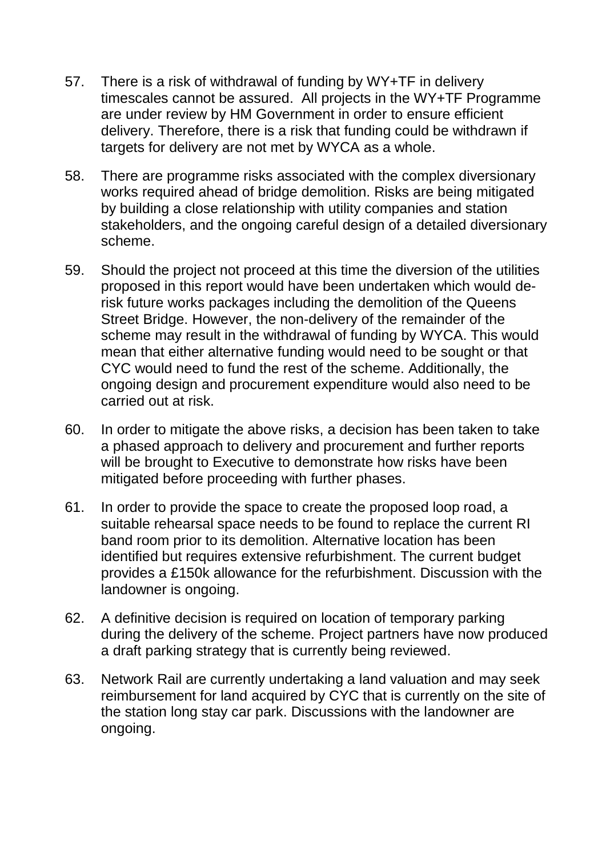- 57. There is a risk of withdrawal of funding by WY+TF in delivery timescales cannot be assured. All projects in the WY+TF Programme are under review by HM Government in order to ensure efficient delivery. Therefore, there is a risk that funding could be withdrawn if targets for delivery are not met by WYCA as a whole.
- 58. There are programme risks associated with the complex diversionary works required ahead of bridge demolition. Risks are being mitigated by building a close relationship with utility companies and station stakeholders, and the ongoing careful design of a detailed diversionary scheme.
- 59. Should the project not proceed at this time the diversion of the utilities proposed in this report would have been undertaken which would derisk future works packages including the demolition of the Queens Street Bridge. However, the non-delivery of the remainder of the scheme may result in the withdrawal of funding by WYCA. This would mean that either alternative funding would need to be sought or that CYC would need to fund the rest of the scheme. Additionally, the ongoing design and procurement expenditure would also need to be carried out at risk.
- 60. In order to mitigate the above risks, a decision has been taken to take a phased approach to delivery and procurement and further reports will be brought to Executive to demonstrate how risks have been mitigated before proceeding with further phases.
- 61. In order to provide the space to create the proposed loop road, a suitable rehearsal space needs to be found to replace the current RI band room prior to its demolition. Alternative location has been identified but requires extensive refurbishment. The current budget provides a £150k allowance for the refurbishment. Discussion with the landowner is ongoing.
- 62. A definitive decision is required on location of temporary parking during the delivery of the scheme. Project partners have now produced a draft parking strategy that is currently being reviewed.
- 63. Network Rail are currently undertaking a land valuation and may seek reimbursement for land acquired by CYC that is currently on the site of the station long stay car park. Discussions with the landowner are ongoing.